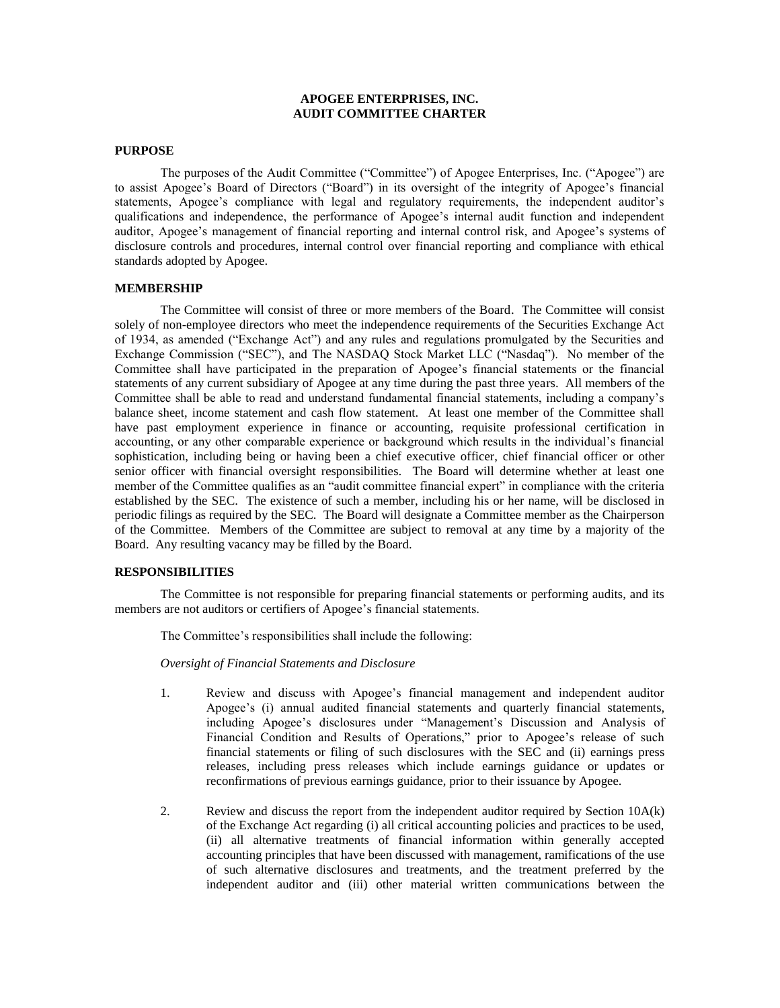# **APOGEE ENTERPRISES, INC. AUDIT COMMITTEE CHARTER**

#### **PURPOSE**

The purposes of the Audit Committee ("Committee") of Apogee Enterprises, Inc. ("Apogee") are to assist Apogee's Board of Directors ("Board") in its oversight of the integrity of Apogee's financial statements, Apogee's compliance with legal and regulatory requirements, the independent auditor's qualifications and independence, the performance of Apogee's internal audit function and independent auditor, Apogee's management of financial reporting and internal control risk, and Apogee's systems of disclosure controls and procedures, internal control over financial reporting and compliance with ethical standards adopted by Apogee.

# **MEMBERSHIP**

The Committee will consist of three or more members of the Board. The Committee will consist solely of non-employee directors who meet the independence requirements of the Securities Exchange Act of 1934, as amended ("Exchange Act") and any rules and regulations promulgated by the Securities and Exchange Commission ("SEC"), and The NASDAQ Stock Market LLC ("Nasdaq"). No member of the Committee shall have participated in the preparation of Apogee's financial statements or the financial statements of any current subsidiary of Apogee at any time during the past three years. All members of the Committee shall be able to read and understand fundamental financial statements, including a company's balance sheet, income statement and cash flow statement. At least one member of the Committee shall have past employment experience in finance or accounting, requisite professional certification in accounting, or any other comparable experience or background which results in the individual's financial sophistication, including being or having been a chief executive officer, chief financial officer or other senior officer with financial oversight responsibilities. The Board will determine whether at least one member of the Committee qualifies as an "audit committee financial expert" in compliance with the criteria established by the SEC. The existence of such a member, including his or her name, will be disclosed in periodic filings as required by the SEC. The Board will designate a Committee member as the Chairperson of the Committee. Members of the Committee are subject to removal at any time by a majority of the Board. Any resulting vacancy may be filled by the Board.

#### **RESPONSIBILITIES**

The Committee is not responsible for preparing financial statements or performing audits, and its members are not auditors or certifiers of Apogee's financial statements.

The Committee's responsibilities shall include the following:

*Oversight of Financial Statements and Disclosure*

- 1. Review and discuss with Apogee's financial management and independent auditor Apogee's (i) annual audited financial statements and quarterly financial statements, including Apogee's disclosures under "Management's Discussion and Analysis of Financial Condition and Results of Operations," prior to Apogee's release of such financial statements or filing of such disclosures with the SEC and (ii) earnings press releases, including press releases which include earnings guidance or updates or reconfirmations of previous earnings guidance, prior to their issuance by Apogee.
- 2. Review and discuss the report from the independent auditor required by Section 10A(k) of the Exchange Act regarding (i) all critical accounting policies and practices to be used, (ii) all alternative treatments of financial information within generally accepted accounting principles that have been discussed with management, ramifications of the use of such alternative disclosures and treatments, and the treatment preferred by the independent auditor and (iii) other material written communications between the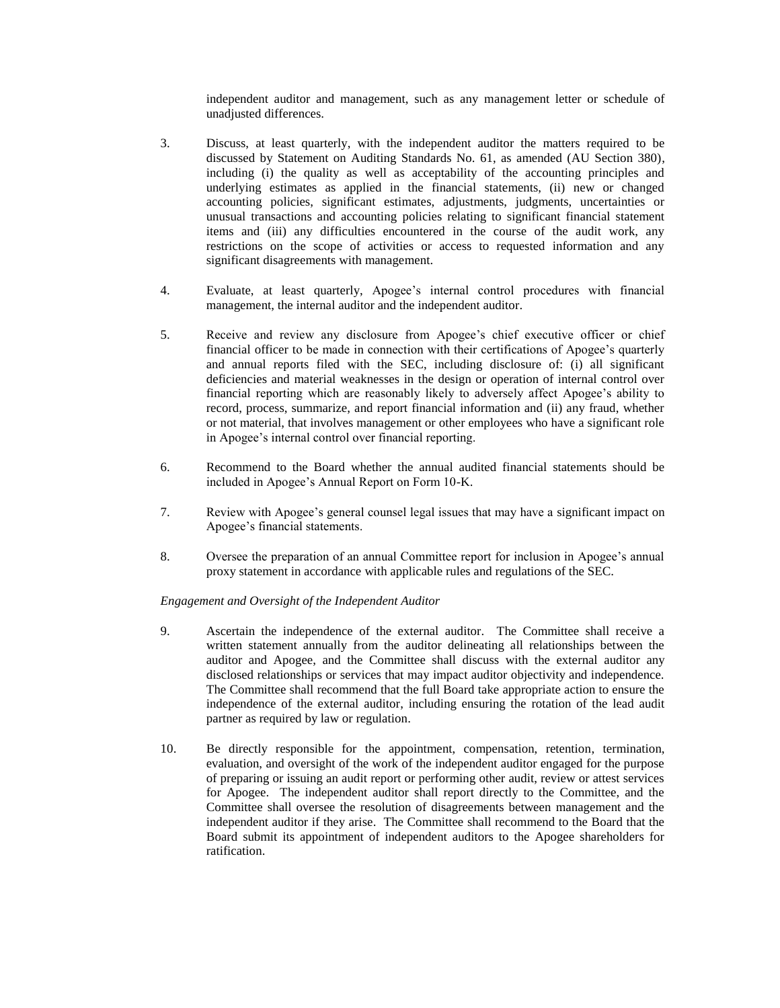independent auditor and management, such as any management letter or schedule of unadjusted differences.

- 3. Discuss, at least quarterly, with the independent auditor the matters required to be discussed by Statement on Auditing Standards No. 61, as amended (AU Section 380), including (i) the quality as well as acceptability of the accounting principles and underlying estimates as applied in the financial statements, (ii) new or changed accounting policies, significant estimates, adjustments, judgments, uncertainties or unusual transactions and accounting policies relating to significant financial statement items and (iii) any difficulties encountered in the course of the audit work, any restrictions on the scope of activities or access to requested information and any significant disagreements with management.
- 4. Evaluate, at least quarterly, Apogee's internal control procedures with financial management, the internal auditor and the independent auditor.
- 5. Receive and review any disclosure from Apogee's chief executive officer or chief financial officer to be made in connection with their certifications of Apogee's quarterly and annual reports filed with the SEC, including disclosure of: (i) all significant deficiencies and material weaknesses in the design or operation of internal control over financial reporting which are reasonably likely to adversely affect Apogee's ability to record, process, summarize, and report financial information and (ii) any fraud, whether or not material, that involves management or other employees who have a significant role in Apogee's internal control over financial reporting.
- 6. Recommend to the Board whether the annual audited financial statements should be included in Apogee's Annual Report on Form 10-K.
- 7. Review with Apogee's general counsel legal issues that may have a significant impact on Apogee's financial statements.
- 8. Oversee the preparation of an annual Committee report for inclusion in Apogee's annual proxy statement in accordance with applicable rules and regulations of the SEC.

## *Engagement and Oversight of the Independent Auditor*

- 9. Ascertain the independence of the external auditor. The Committee shall receive a written statement annually from the auditor delineating all relationships between the auditor and Apogee, and the Committee shall discuss with the external auditor any disclosed relationships or services that may impact auditor objectivity and independence. The Committee shall recommend that the full Board take appropriate action to ensure the independence of the external auditor, including ensuring the rotation of the lead audit partner as required by law or regulation.
- 10. Be directly responsible for the appointment, compensation, retention, termination, evaluation, and oversight of the work of the independent auditor engaged for the purpose of preparing or issuing an audit report or performing other audit, review or attest services for Apogee. The independent auditor shall report directly to the Committee, and the Committee shall oversee the resolution of disagreements between management and the independent auditor if they arise. The Committee shall recommend to the Board that the Board submit its appointment of independent auditors to the Apogee shareholders for ratification.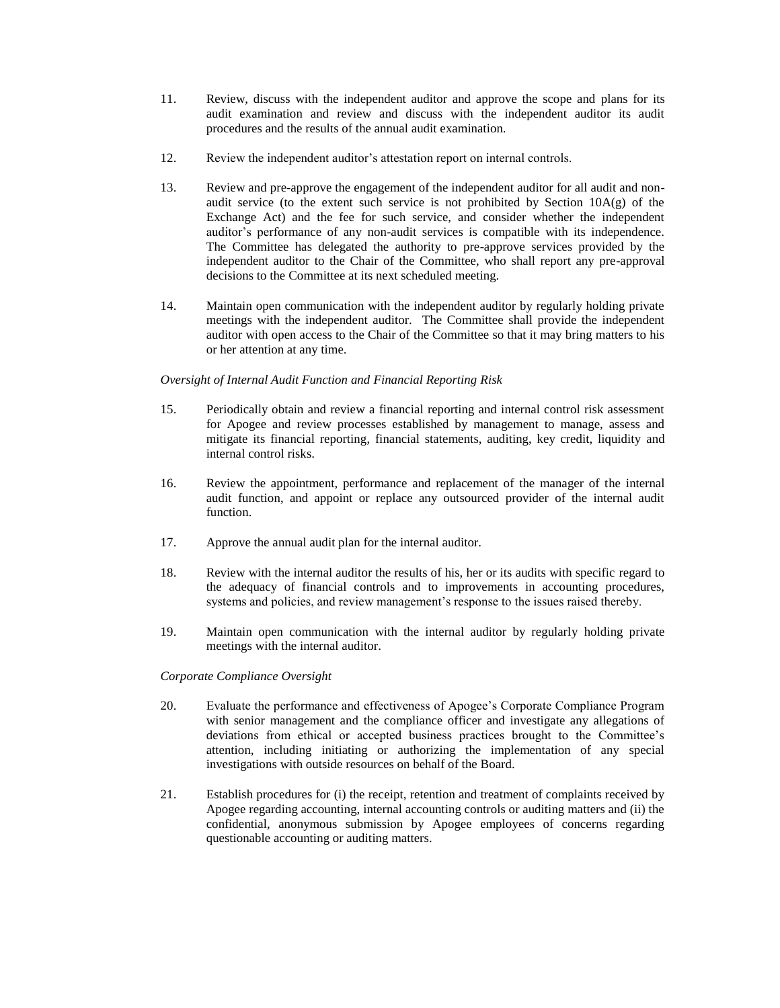- 11. Review, discuss with the independent auditor and approve the scope and plans for its audit examination and review and discuss with the independent auditor its audit procedures and the results of the annual audit examination.
- 12. Review the independent auditor's attestation report on internal controls.
- 13. Review and pre-approve the engagement of the independent auditor for all audit and nonaudit service (to the extent such service is not prohibited by Section 10A(g) of the Exchange Act) and the fee for such service, and consider whether the independent auditor's performance of any non-audit services is compatible with its independence. The Committee has delegated the authority to pre-approve services provided by the independent auditor to the Chair of the Committee, who shall report any pre-approval decisions to the Committee at its next scheduled meeting.
- 14. Maintain open communication with the independent auditor by regularly holding private meetings with the independent auditor. The Committee shall provide the independent auditor with open access to the Chair of the Committee so that it may bring matters to his or her attention at any time.

# *Oversight of Internal Audit Function and Financial Reporting Risk*

- 15. Periodically obtain and review a financial reporting and internal control risk assessment for Apogee and review processes established by management to manage, assess and mitigate its financial reporting, financial statements, auditing, key credit, liquidity and internal control risks.
- 16. Review the appointment, performance and replacement of the manager of the internal audit function, and appoint or replace any outsourced provider of the internal audit function.
- 17. Approve the annual audit plan for the internal auditor.
- 18. Review with the internal auditor the results of his, her or its audits with specific regard to the adequacy of financial controls and to improvements in accounting procedures, systems and policies, and review management's response to the issues raised thereby.
- 19. Maintain open communication with the internal auditor by regularly holding private meetings with the internal auditor.

## *Corporate Compliance Oversight*

- 20. Evaluate the performance and effectiveness of Apogee's Corporate Compliance Program with senior management and the compliance officer and investigate any allegations of deviations from ethical or accepted business practices brought to the Committee's attention, including initiating or authorizing the implementation of any special investigations with outside resources on behalf of the Board.
- 21. Establish procedures for (i) the receipt, retention and treatment of complaints received by Apogee regarding accounting, internal accounting controls or auditing matters and (ii) the confidential, anonymous submission by Apogee employees of concerns regarding questionable accounting or auditing matters.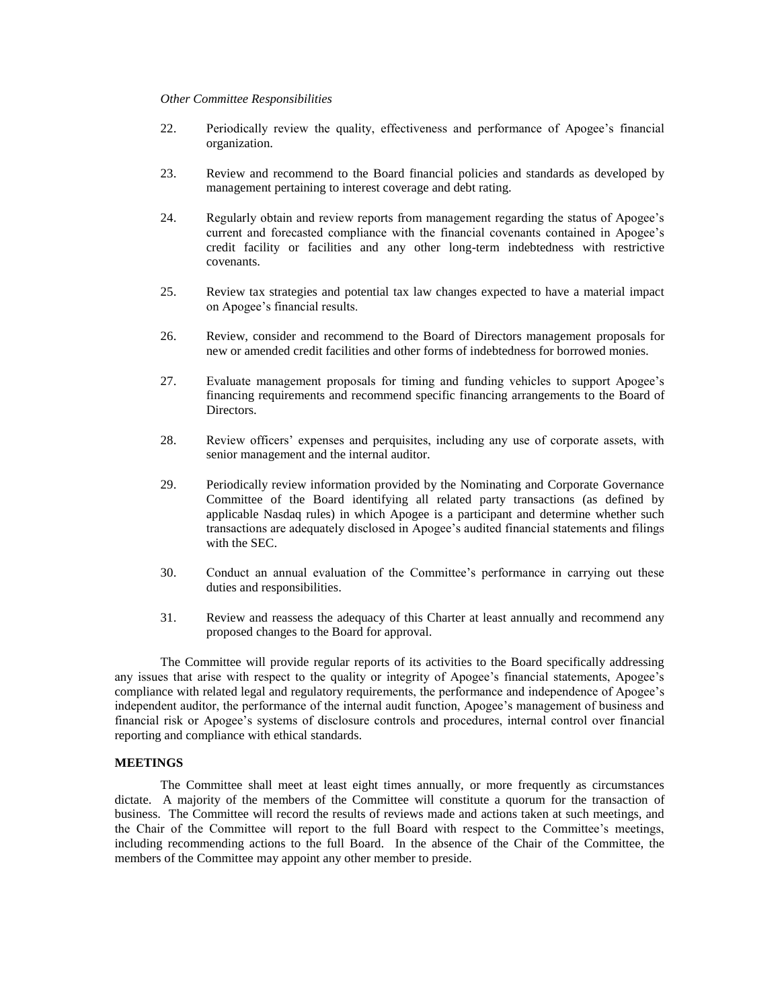#### *Other Committee Responsibilities*

- 22. Periodically review the quality, effectiveness and performance of Apogee's financial organization.
- 23. Review and recommend to the Board financial policies and standards as developed by management pertaining to interest coverage and debt rating.
- 24. Regularly obtain and review reports from management regarding the status of Apogee's current and forecasted compliance with the financial covenants contained in Apogee's credit facility or facilities and any other long-term indebtedness with restrictive covenants.
- 25. Review tax strategies and potential tax law changes expected to have a material impact on Apogee's financial results.
- 26. Review, consider and recommend to the Board of Directors management proposals for new or amended credit facilities and other forms of indebtedness for borrowed monies.
- 27. Evaluate management proposals for timing and funding vehicles to support Apogee's financing requirements and recommend specific financing arrangements to the Board of Directors.
- 28. Review officers' expenses and perquisites, including any use of corporate assets, with senior management and the internal auditor.
- 29. Periodically review information provided by the Nominating and Corporate Governance Committee of the Board identifying all related party transactions (as defined by applicable Nasdaq rules) in which Apogee is a participant and determine whether such transactions are adequately disclosed in Apogee's audited financial statements and filings with the SEC.
- 30. Conduct an annual evaluation of the Committee's performance in carrying out these duties and responsibilities.
- 31. Review and reassess the adequacy of this Charter at least annually and recommend any proposed changes to the Board for approval.

The Committee will provide regular reports of its activities to the Board specifically addressing any issues that arise with respect to the quality or integrity of Apogee's financial statements, Apogee's compliance with related legal and regulatory requirements, the performance and independence of Apogee's independent auditor, the performance of the internal audit function, Apogee's management of business and financial risk or Apogee's systems of disclosure controls and procedures, internal control over financial reporting and compliance with ethical standards.

## **MEETINGS**

The Committee shall meet at least eight times annually, or more frequently as circumstances dictate. A majority of the members of the Committee will constitute a quorum for the transaction of business. The Committee will record the results of reviews made and actions taken at such meetings, and the Chair of the Committee will report to the full Board with respect to the Committee's meetings, including recommending actions to the full Board. In the absence of the Chair of the Committee, the members of the Committee may appoint any other member to preside.